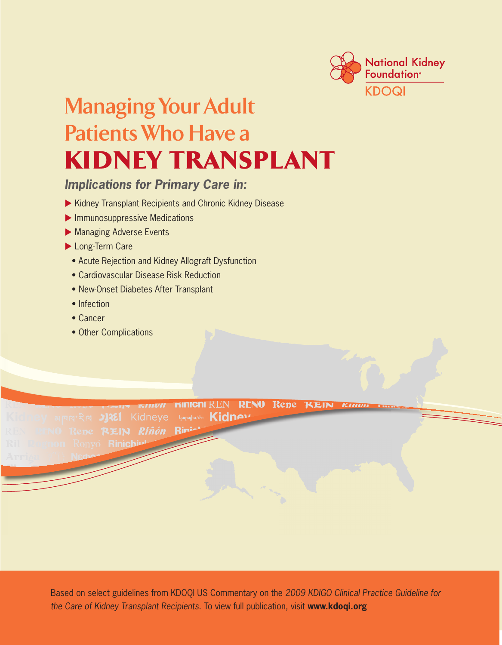

# **Managing Your Adult Patients Who Have a**  Kidney TransplanT

# *Implications for Primary Care in:*

- Kidney Transplant Recipients and Chronic Kidney Disease
- **Immunosuppressive Medications**
- **Managing Adverse Events**
- Long-Term Care
	- Acute Rejection and Kidney Allograft Dysfunction
	- Cardiovascular Disease Risk Reduction
	- New-Onset Diabetes After Transplant
	- Infection
	- Cancer
	- Other Complications

**HINGHEREN RENO Repe** KEIN կարպիս/ժօ Kidnew Riñón

> the Care of Kidney Transplant Recipients. To view full publication, visit www.kdoqi.org Based on select guidelines from KDOQI US Commentary on the *2009 KDIGO Clinical Practice Guideline for*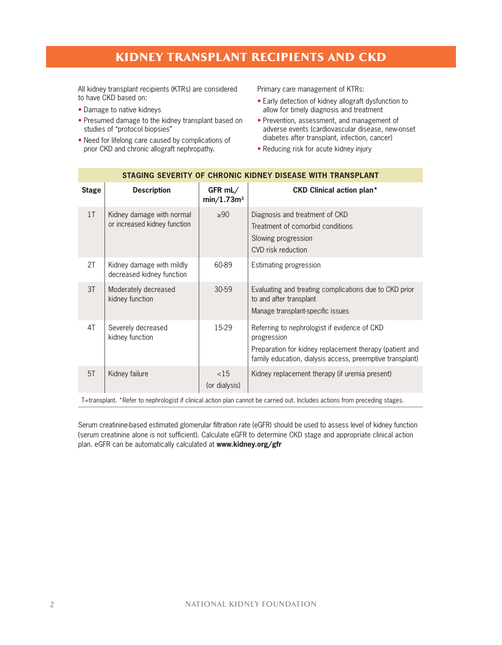### Kidney TransplanT recipienTs and cKd

All kidney transplant recipients (KTRs) are considered to have CKD based on:

- Damage to native kidneys
- Presumed damage to the kidney transplant based on studies of "protocol biopsies"
- Need for lifelong care caused by complications of prior CKD and chronic allograft nephropathy.

Primary care management of KTRs:

- Early detection of kidney allograft dysfunction to allow for timely diagnosis and treatment
- Prevention, assessment, and management of adverse events (cardiovascular disease, new-onset diabetes after transplant, infection, cancer)
- Reducing risk for acute kidney injury

| <b>Stage</b>                                                                                                                | <b>Description</b>                                        | $GFR$ mL/<br>min/1.73m <sup>3</sup> | <b>CKD Clinical action plan*</b>                                                                                                                                                    |  |
|-----------------------------------------------------------------------------------------------------------------------------|-----------------------------------------------------------|-------------------------------------|-------------------------------------------------------------------------------------------------------------------------------------------------------------------------------------|--|
| 1 <sub>T</sub>                                                                                                              | Kidney damage with normal<br>or increased kidney function | $\geq 90$                           | Diagnosis and treatment of CKD<br>Treatment of comorbid conditions<br>Slowing progression<br>CVD risk reduction                                                                     |  |
| 2T                                                                                                                          | Kidney damage with mildly<br>decreased kidney function    | 60-89                               | Estimating progression                                                                                                                                                              |  |
| 3T                                                                                                                          | Moderately decreased<br>kidney function                   | 30-59                               | Evaluating and treating complications due to CKD prior<br>to and after transplant<br>Manage transplant-specific issues                                                              |  |
| 4T                                                                                                                          | Severely decreased<br>kidney function                     | 15-29                               | Referring to nephrologist if evidence of CKD<br>progression<br>Preparation for kidney replacement therapy (patient and<br>family education, dialysis access, preemptive transplant) |  |
| 5T                                                                                                                          | Kidney failure                                            | <15<br>(or dialysis)                | Kidney replacement therapy (if uremia present)                                                                                                                                      |  |
| T=transplant. *Refer to nephrologist if clinical action plan cannot be carried out. Includes actions from preceding stages. |                                                           |                                     |                                                                                                                                                                                     |  |

### **STAGING SEVERITY OF CHRONIC KIDNEY DISEASE WITH TRANSPLANT**

Serum creatinine-based estimated glomerular filtration rate (eGFR) should be used to assess level of kidney function (serum creatinine alone is not sufficient). Calculate eGFR to determine CKD stage and appropriate clinical action plan. eGFR can be automatically calculated at **www.kidney.org/gfr**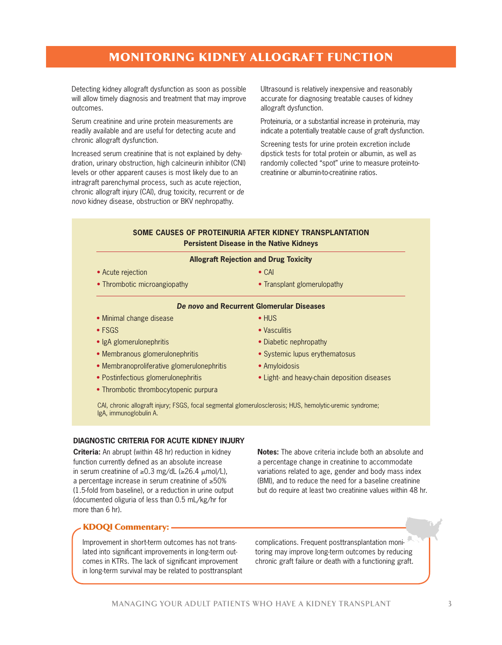# MOniTOring Kidney allOgrafT funcTiOn

Detecting kidney allograft dysfunction as soon as possible will allow timely diagnosis and treatment that may improve outcomes.

Serum creatinine and urine protein measurements are readily available and are useful for detecting acute and chronic allograft dysfunction.

Increased serum creatinine that is not explained by dehydration, urinary obstruction, high calcineurin inhibitor (CNI) levels or other apparent causes is most likely due to an intragraft parenchymal process, such as acute rejection, chronic allograft injury (CAI), drug toxicity, recurrent or *de novo* kidney disease, obstruction or BKV nephropathy.

Ultrasound is relatively inexpensive and reasonably accurate for diagnosing treatable causes of kidney allograft dysfunction.

Proteinuria, or a substantial increase in proteinuria, may indicate a potentially treatable cause of graft dysfunction.

Screening tests for urine protein excretion include dipstick tests for total protein or albumin, as well as randomly collected "spot" urine to measure protein-tocreatinine or albumin-to-creatinine ratios.

#### **SOME CAUSES OF PROTEINURIA AFTER KIDNEY TRANSPLANTATION Persistent Disease in the Native Kidneys**

|  |  | <b>Allograft Rejection and Drug Toxicity</b> |
|--|--|----------------------------------------------|
|--|--|----------------------------------------------|

- Acute rejection
- Thrombotic microangiopathy
- CAI
- Transplant glomerulopathy

#### *De novo* **and Recurrent Glomerular Diseases**

- Minimal change disease
- FSGS
- IgA glomerulonephritis
- Membranous glomerulonephritis
- Membranoproliferative glomerulonephritis
- Postinfectious glomerulonephritis
- Thrombotic thrombocytopenic purpura
- HUS • Vasculitis
- Diabetic nephropathy
- Systemic lupus erythematosus
- Amyloidosis
- Light- and heavy-chain deposition diseases

CAI, chronic allograft injury; FSGS, focal segmental glomerulosclerosis; HUS, hemolytic-uremic syndrome; IgA, immunoglobulin A.

#### **DIAGNOSTIC CRITERIA FOR ACUTE KIDNEY INJURY**

**Criteria:** An abrupt (within 48 hr) reduction in kidney function currently defined as an absolute increase in serum creatinine of ≥0.3 mg/dL (≥26.4  $\mu$ mol/L), a percentage increase in serum creatinine of ≥50% (1.5-fold from baseline), or a reduction in urine output (documented oliguria of less than 0.5 mL/kg/hr for more than 6 hr).

**Notes:** The above criteria include both an absolute and a percentage change in creatinine to accommodate variations related to age, gender and body mass index (BMI), and to reduce the need for a baseline creatinine but do require at least two creatinine values within 48 hr.

### **KDOQI Commentary: -**

Improvement in short-term outcomes has not translated into significant improvements in long-term outcomes in KTRs. The lack of significant improvement in long-term survival may be related to posttransplant complications. Frequent posttransplantation monitoring may improve long-term outcomes by reducing chronic graft failure or death with a functioning graft.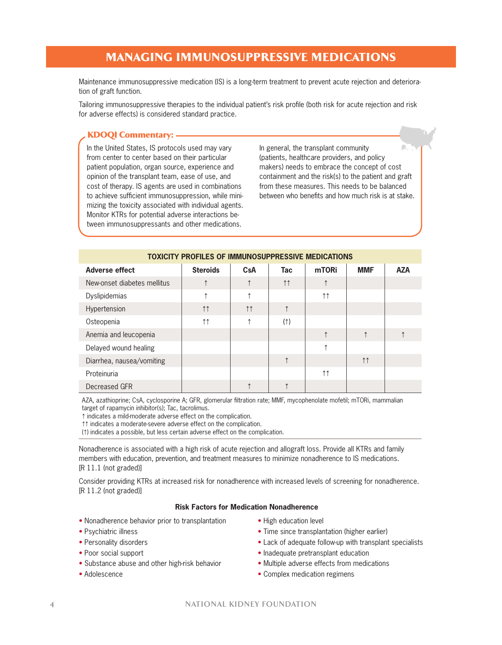# Managing iMMunOsuppressive MedicaTiOns

Maintenance immunosuppressive medication (IS) is a long-term treatment to prevent acute rejection and deterioration of graft function.

Tailoring immunosuppressive therapies to the individual patient's risk profile (both risk for acute rejection and risk for adverse effects) is considered standard practice.

#### KDOQI Commentary: -

In the United States, IS protocols used may vary from center to center based on their particular patient population, organ source, experience and opinion of the transplant team, ease of use, and cost of therapy. IS agents are used in combinations to achieve sufficient immunosuppression, while minimizing the toxicity associated with individual agents. Monitor KTRs for potential adverse interactions between immunosuppressants and other medications.

In general, the transplant community (patients, healthcare providers, and policy makers) needs to embrace the concept of cost containment and the risk(s) to the patient and graft from these measures. This needs to be balanced between who benefits and how much risk is at stake.

| <b>TOXICITY PROFILES OF IMMUNOSUPPRESSIVE MEDICATIONS</b> |                     |                     |                     |                     |                    |            |
|-----------------------------------------------------------|---------------------|---------------------|---------------------|---------------------|--------------------|------------|
| <b>Adverse effect</b>                                     | <b>Steroids</b>     | CsA                 | Tac                 | mTORi               | <b>MMF</b>         | <b>AZA</b> |
| New-onset diabetes mellitus                               |                     |                     | $\uparrow \uparrow$ | ↑                   |                    |            |
| Dyslipidemias                                             |                     | ↑                   |                     | $\uparrow \uparrow$ |                    |            |
| Hypertension                                              | 11                  | $\uparrow \uparrow$ | ↑                   |                     |                    |            |
| Osteopenia                                                | $\uparrow \uparrow$ | ᠰ                   | (1)                 |                     |                    |            |
| Anemia and leucopenia                                     |                     |                     |                     | ↑                   | 1                  |            |
| Delayed wound healing                                     |                     |                     |                     | ↑                   |                    |            |
| Diarrhea, nausea/vomiting                                 |                     |                     | $\uparrow$          |                     | $\uparrow\uparrow$ |            |
| Proteinuria                                               |                     |                     |                     | $\uparrow \uparrow$ |                    |            |
| Decreased GFR                                             |                     |                     |                     |                     |                    |            |

AZA, azathioprine; CsA, cyclosporine A; GFR, glomerular filtration rate; MMF, mycophenolate mofetil; mTORi, mammalian target of rapamycin inhibitor(s); Tac, tacrolimus.

F indicates a mild-moderate adverse effect on the complication.

the indicates a moderate-severe adverse effect on the complication.

(F) indicates a possible, but less certain adverse effect on the complication.

Nonadherence is associated with a high risk of acute rejection and allograft loss. Provide all KTRs and family members with education, prevention, and treatment measures to minimize nonadherence to IS medications. [R 11.1 (not graded)]

Consider providing KTRs at increased risk for nonadherence with increased levels of screening for nonadherence. [R 11.2 (not graded)]

#### **Risk Factors for Medication Nonadherence**

- Nonadherence behavior prior to transplantation
- Psychiatric illness
- Personality disorders
- Poor social support
- Substance abuse and other high-risk behavior
- Adolescence
- High education level
- Time since transplantation (higher earlier)
- Lack of adequate follow-up with transplant specialists
- Inadequate pretransplant education
- Multiple adverse effects from medications
- Complex medication regimens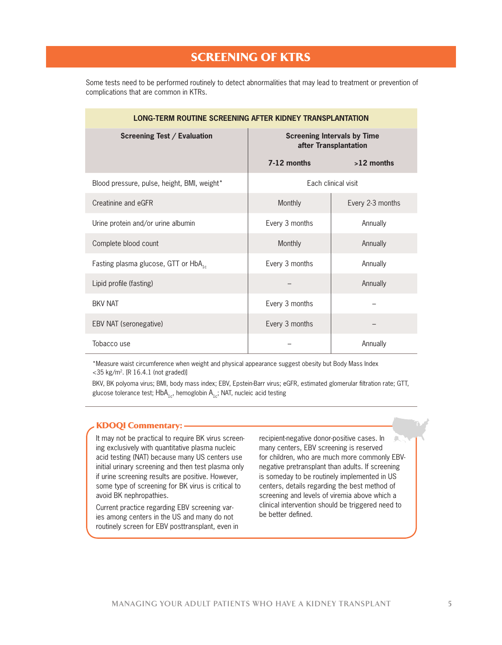### screening Of KTrs

Some tests need to be performed routinely to detect abnormalities that may lead to treatment or prevention of complications that are common in KTRs.

| LONG-TERM ROUTINE SCREENING AFTER KIDNEY TRANSPLANTATION |                                                             |                     |  |  |
|----------------------------------------------------------|-------------------------------------------------------------|---------------------|--|--|
| <b>Screening Test / Evaluation</b>                       | <b>Screening Intervals by Time</b><br>after Transplantation |                     |  |  |
|                                                          | 7-12 months                                                 | $>12$ months        |  |  |
| Blood pressure, pulse, height, BMI, weight*              |                                                             | Each clinical visit |  |  |
| Creatinine and eGFR                                      | Monthly                                                     | Every 2-3 months    |  |  |
| Urine protein and/or urine albumin                       | Every 3 months                                              | Annually            |  |  |
| Complete blood count                                     | Monthly                                                     | Annually            |  |  |
| Fasting plasma glucose, GTT or HbA <sub>16</sub>         | Every 3 months                                              | Annually            |  |  |
| Lipid profile (fasting)                                  |                                                             | Annually            |  |  |
| <b>BKV NAT</b>                                           | Every 3 months                                              |                     |  |  |
| EBV NAT (seronegative)                                   | Every 3 months                                              |                     |  |  |
| Tobacco use                                              |                                                             | Annually            |  |  |

\*Measure waist circumference when weight and physical appearance suggest obesity but Body Mass Index <35 kg/m2. [R 16.4.1 (not graded)]

BKV, BK polyoma virus; BMI, body mass index; EBV, Epstein-Barr virus; eGFR, estimated glomerular filtration rate; GTT, glucose tolerance test;  $\mathsf{HbA}_{1c'}$ , hemoglobin  $\mathsf{A}_{1c}$ ; NAT, nucleic acid testing

#### **KDOQI Commentary: -**

It may not be practical to require BK virus screening exclusively with quantitative plasma nucleic acid testing (NAT) because many US centers use initial urinary screening and then test plasma only if urine screening results are positive. However, some type of screening for BK virus is critical to avoid BK nephropathies.

Current practice regarding EBV screening varies among centers in the US and many do not routinely screen for EBV posttransplant, even in recipient-negative donor-positive cases. In many centers, EBV screening is reserved for children, who are much more commonly EBVnegative pretransplant than adults. If screening is someday to be routinely implemented in US centers, details regarding the best method of screening and levels of viremia above which a clinical intervention should be triggered need to be better defined.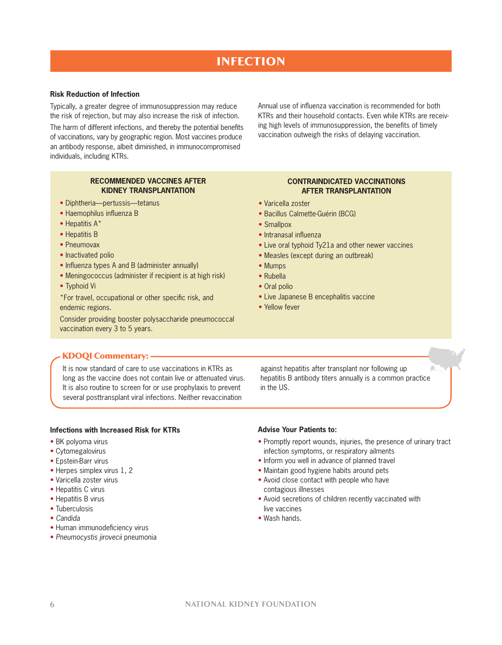# **INFECTION**

### **Risk Reduction of Infection**

Typically, a greater degree of immunosuppression may reduce the risk of rejection, but may also increase the risk of infection.

The harm of different infections, and thereby the potential benefits of vaccinations, vary by geographic region. Most vaccines produce an antibody response, albeit diminished, in immunocompromised individuals, including KTRs.

> **RECOMMENDED VACCINES AFTER KIDNEY TRANSPLANTATION**

- Diphtheria—pertussis—tetanus
- Haemophilus influenza B
- Hepatitis A\*
- Hepatitis B
- Pneumovax
- Inactivated polio
- Influenza types A and B (administer annually)
- Meningococcus (administer if recipient is at high risk)
- Typhoid Vi

\*For travel, occupational or other specific risk, and endemic regions.

Consider providing booster polysaccharide pneumococcal vaccination every 3 to 5 years.

#### Annual use of influenza vaccination is recommended for both KTRs and their household contacts. Even while KTRs are receiving high levels of immunosuppression, the benefits of timely vaccination outweigh the risks of delaying vaccination.

#### **CONTRAINDICATED VACCINATIONS AFTER TRANSPLANTATION**

- Varicella zoster
- Bacillus Calmette-Guérin (BCG)
- Smallpox
- Intranasal influenza
- Live oral typhoid Ty21a and other newer vaccines
- Measles (except during an outbreak)
- Mumps
- Rubella
- Oral polio
- Live Japanese B encephalitis vaccine
- Yellow fever

#### **KDOQI Commentary: -**

It is now standard of care to use vaccinations in KTRs as long as the vaccine does not contain live or attenuated virus. It is also routine to screen for or use prophylaxis to prevent several posttransplant viral infections. Neither revaccination

against hepatitis after transplant nor following up hepatitis B antibody titers annually is a common practice in the US.

£.

#### **Infections with Increased Risk for KTRs**

- BK polyoma virus
- Cytomegalovirus
- Epstein-Barr virus
- Herpes simplex virus 1, 2
- Varicella zoster virus
- Hepatitis C virus
- Hepatitis B virus
- Tuberculosis
- *Candida*
- Human immunodeficiency virus
- *Pneumocystis jirovecii* pneumonia

#### **Advise Your Patients to:**

- Promptly report wounds, injuries, the presence of urinary tract infection symptoms, or respiratory ailments
- Inform you well in advance of planned travel
- Maintain good hygiene habits around pets
- Avoid close contact with people who have contagious illnesses
- Avoid secretions of children recently vaccinated with live vaccines
- Wash hands.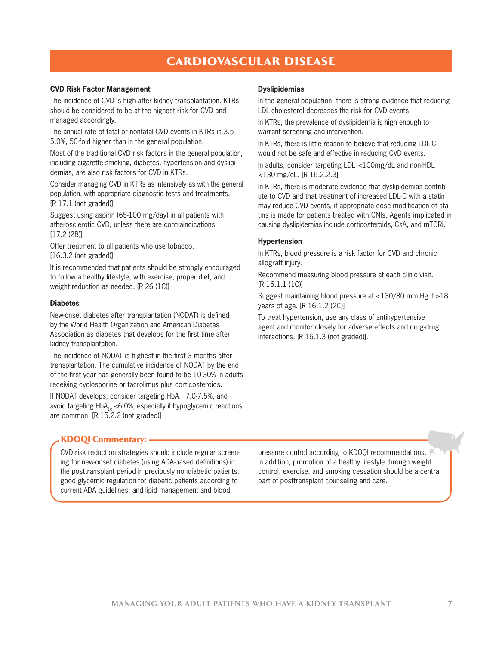# **CARDIOVASCULAR DISEASE**

#### **CVD Risk Factor Management**

The incidence of CVD is high after kidney transplantation. KTRs should be considered to be at the highest risk for CVD and managed accordingly.

The annual rate of fatal or nonfatal CVD events in KTRs is 3.5- 5.0%, 50-fold higher than in the general population.

Most of the traditional CVD risk factors in the general population, including cigarette smoking, diabetes, hypertension and dyslipidemias, are also risk factors for CVD in KTRs.

Consider managing CVD in KTRs as intensively as with the general population, with appropriate diagnostic tests and treatments. [R 17.1 (not graded)]

Suggest using aspirin (65-100 mg/day) in all patients with atherosclerotic CVD, unless there are contraindications. [17.2 (2B)]

Offer treatment to all patients who use tobacco. [16.3.2 (not graded)]

It is recommended that patients should be strongly encouraged to follow a healthy lifestyle, with exercise, proper diet, and weight reduction as needed. [R 26 (1C)]

#### **Diabetes**

New-onset diabetes after transplantation (NODAT) is defined by the World Health Organization and American Diabetes Association as diabetes that develops for the first time after kidney transplantation.

The incidence of NODAT is highest in the first 3 months after transplantation. The cumulative incidence of NODAT by the end of the first year has generally been found to be 10-30% in adults receiving cyclosporine or tacrolimus plus corticosteroids.

If NODAT develops, consider targeting  $HbA_{1c}$  7.0-7.5%, and avoid targeting HbA<sub>1c</sub> ≤6.0%, especially if hypoglycemic reactions are common. [R 15.2.2 (not graded)]

#### **Dyslipidemias**

In the general population, there is strong evidence that reducing LDL-cholesterol decreases the risk for CVD events.

In KTRs, the prevalence of dyslipidemia is high enough to warrant screening and intervention.

In KTRs, there is little reason to believe that reducing LDL-C would not be safe and effective in reducing CVD events.

In adults, consider targeting LDL <100mg/dL and non-HDL <130 mg/dL. [R 16.2.2.3]

In KTRs, there is moderate evidence that dyslipidemias contribute to CVD and that treatment of increased LDL-C with a statin may reduce CVD events, if appropriate dose modification of statins is made for patients treated with CNIs. Agents implicated in causing dyslipidemias include corticosteroids, CsA, and mTORi.

#### **Hypertension**

In KTRs, blood pressure is a risk factor for CVD and chronic allograft injury.

Recommend measuring blood pressure at each clinic visit. [R 16.1.1 (1C)]

Suggest maintaining blood pressure at <130/80 mm Hg if ≥18 years of age. [R 16.1.2 (2C)]

To treat hypertension, use any class of antihypertensive agent and monitor closely for adverse effects and drug-drug interactions. [R 16.1.3 (not graded)].

#### KDOQI Commentary: -

CVD risk reduction strategies should include regular screening for new-onset diabetes (using ADA-based definitions) in the posttransplant period in previously nondiabetic patients, good glycemic regulation for diabetic patients according to current ADA guidelines, and lipid management and blood

pressure control according to KDOQI recommendations. In addition, promotion of a healthy lifestyle through weight control, exercise, and smoking cessation should be a central part of posttransplant counseling and care.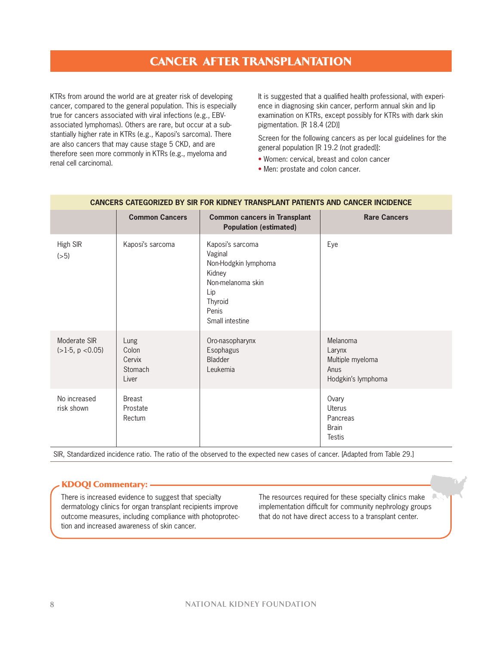### cancer afTer TransplanTaTiOn

KTRs from around the world are at greater risk of developing cancer, compared to the general population. This is especially true for cancers associated with viral infections (e.g., EBVassociated lymphomas). Others are rare, but occur at a substantially higher rate in KTRs (e.g., Kaposi's sarcoma). There are also cancers that may cause stage 5 CKD, and are therefore seen more commonly in KTRs (e.g., myeloma and renal cell carcinoma).

It is suggested that a qualified health professional, with experience in diagnosing skin cancer, perform annual skin and lip examination on KTRs, except possibly for KTRs with dark skin pigmentation. [R 18.4 (2D)]

Screen for the following cancers as per local guidelines for the general population [R 19.2 (not graded)]:

- Women: cervical, breast and colon cancer
- Men: prostate and colon cancer.

|                                    | <b>Common Cancers</b>                       | <b>Common cancers in Transplant</b><br><b>Population (estimated)</b>                                                             | <b>Rare Cancers</b>                                                  |
|------------------------------------|---------------------------------------------|----------------------------------------------------------------------------------------------------------------------------------|----------------------------------------------------------------------|
| High SIR<br>(>5)                   | Kaposi's sarcoma                            | Kaposi's sarcoma<br>Vaginal<br>Non-Hodgkin lymphoma<br>Kidney<br>Non-melanoma skin<br>Lip<br>Thyroid<br>Penis<br>Small intestine | Eye                                                                  |
| Moderate SIR<br>$(>1-5, p < 0.05)$ | Lung<br>Colon<br>Cervix<br>Stomach<br>Liver | Oro-nasopharynx<br>Esophagus<br>Bladder<br>Leukemia                                                                              | Melanoma<br>Larynx<br>Multiple myeloma<br>Anus<br>Hodgkin's lymphoma |
| No increased<br>risk shown         | <b>Breast</b><br>Prostate<br>Rectum         |                                                                                                                                  | Ovary<br><b>Uterus</b><br>Pancreas<br><b>Brain</b><br><b>Testis</b>  |

#### **CANCERS CATEGORIZED BY SIR FOR KIDNEY TRANSPLANT PATIENTS AND CANCER INCIDENCE**

SIR, Standardized incidence ratio. The ratio of the observed to the expected new cases of cancer. [Adapted from Table 29.]

### **KDOQI Commentary: -**

There is increased evidence to suggest that specialty dermatology clinics for organ transplant recipients improve outcome measures, including compliance with photoprotection and increased awareness of skin cancer.

The resources required for these specialty clinics make implementation difficult for community nephrology groups that do not have direct access to a transplant center.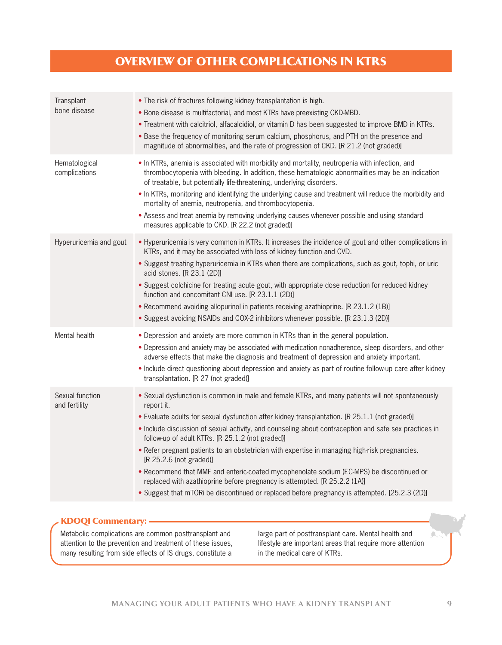# Overview Of OTher cOMplicaTiOns in KTrs

| Transplant<br>bone disease       | • The risk of fractures following kidney transplantation is high.<br>. Bone disease is multifactorial, and most KTRs have preexisting CKD-MBD.<br>• Treatment with calcitriol, alfacalcidiol, or vitamin D has been suggested to improve BMD in KTRs.<br>. Base the frequency of monitoring serum calcium, phosphorus, and PTH on the presence and<br>magnitude of abnormalities, and the rate of progression of CKD. [R 21.2 (not graded)]                                                                                                                                                                                                                                                                                                                                          |
|----------------------------------|--------------------------------------------------------------------------------------------------------------------------------------------------------------------------------------------------------------------------------------------------------------------------------------------------------------------------------------------------------------------------------------------------------------------------------------------------------------------------------------------------------------------------------------------------------------------------------------------------------------------------------------------------------------------------------------------------------------------------------------------------------------------------------------|
| Hematological<br>complications   | . In KTRs, anemia is associated with morbidity and mortality, neutropenia with infection, and<br>thrombocytopenia with bleeding. In addition, these hematologic abnormalities may be an indication<br>of treatable, but potentially life-threatening, underlying disorders.<br>. In KTRs, monitoring and identifying the underlying cause and treatment will reduce the morbidity and<br>mortality of anemia, neutropenia, and thrombocytopenia.<br>. Assess and treat anemia by removing underlying causes whenever possible and using standard<br>measures applicable to CKD. [R 22.2 (not graded)]                                                                                                                                                                                |
| Hyperuricemia and gout           | • Hyperuricemia is very common in KTRs. It increases the incidence of gout and other complications in<br>KTRs, and it may be associated with loss of kidney function and CVD.<br>• Suggest treating hyperuricemia in KTRs when there are complications, such as gout, tophi, or uric<br>acid stones. [R 23.1 (2D)]<br>. Suggest colchicine for treating acute gout, with appropriate dose reduction for reduced kidney<br>function and concomitant CNI use. IR 23.1.1 (2D)]<br>• Recommend avoiding allopurinol in patients receiving azathioprine. [R 23.1.2 (1B)]<br>• Suggest avoiding NSAIDs and COX-2 inhibitors whenever possible. [R 23.1.3 (2D)]                                                                                                                             |
| Mental health                    | • Depression and anxiety are more common in KTRs than in the general population.<br>. Depression and anxiety may be associated with medication nonadherence, sleep disorders, and other<br>adverse effects that make the diagnosis and treatment of depression and anxiety important.<br>. Include direct questioning about depression and anxiety as part of routine follow-up care after kidney<br>transplantation. [R 27 (not graded)]                                                                                                                                                                                                                                                                                                                                            |
| Sexual function<br>and fertility | • Sexual dysfunction is common in male and female KTRs, and many patients will not spontaneously<br>report it.<br>• Evaluate adults for sexual dysfunction after kidney transplantation. [R 25.1.1 (not graded)]<br>• Include discussion of sexual activity, and counseling about contraception and safe sex practices in<br>follow-up of adult KTRs. [R 25.1.2 (not graded)]<br>. Refer pregnant patients to an obstetrician with expertise in managing high-risk pregnancies.<br>[R 25.2.6 (not graded)]<br>. Recommend that MMF and enteric-coated mycophenolate sodium (EC-MPS) be discontinued or<br>replaced with azathioprine before pregnancy is attempted. [R 25.2.2 (1A)]<br>• Suggest that mTORi be discontinued or replaced before pregnancy is attempted. [25.2.3 (2D)] |

### KDOQI Commentary:  $\longrightarrow$

Metabolic complications are common posttransplant and attention to the prevention and treatment of these issues, many resulting from side effects of IS drugs, constitute a

large part of posttransplant care. Mental health and lifestyle are important areas that require more attention in the medical care of KTRs.

 $\mathcal{L}_{\mathcal{A}}$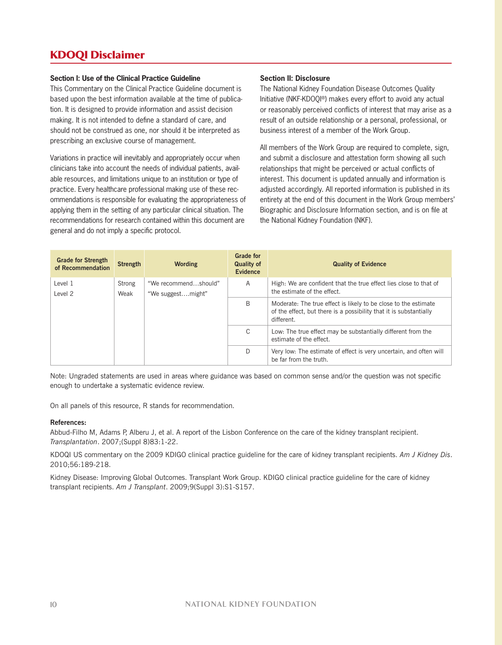### **KDOQI Disclaimer**

#### **Section I: Use of the Clinical Practice Guideline**

This Commentary on the Clinical Practice Guideline document is based upon the best information available at the time of publication. It is designed to provide information and assist decision making. It is not intended to define a standard of care, and should not be construed as one, nor should it be interpreted as prescribing an exclusive course of management.

Variations in practice will inevitably and appropriately occur when clinicians take into account the needs of individual patients, available resources, and limitations unique to an institution or type of practice. Every healthcare professional making use of these recommendations is responsible for evaluating the appropriateness of applying them in the setting of any particular clinical situation. The recommendations for research contained within this document are general and do not imply a specific protocol.

#### **Section II: Disclosure**

The National Kidney Foundation Disease Outcomes Quality Initiative (NKF-KDOQI®) makes every effort to avoid any actual or reasonably perceived conflicts of interest that may arise as a result of an outside relationship or a personal, professional, or business interest of a member of the Work Group.

All members of the Work Group are required to complete, sign, and submit a disclosure and attestation form showing all such relationships that might be perceived or actual conflicts of interest. This document is updated annually and information is adjusted accordingly. All reported information is published in its entirety at the end of this document in the Work Group members' Biographic and Disclosure Information section, and is on file at the National Kidney Foundation (NKF).

| <b>Grade for Strength</b><br>of Recommendation | <b>Strength</b>                           | <b>Wording</b> | <b>Grade for</b><br><b>Quality of</b><br><b>Evidence</b>                                         | <b>Quality of Evidence</b>                                                                                                                          |
|------------------------------------------------|-------------------------------------------|----------------|--------------------------------------------------------------------------------------------------|-----------------------------------------------------------------------------------------------------------------------------------------------------|
| Level 1<br>Strong<br>Level 2<br>Weak           | "We recommendshould"<br>"We suggestmight" | Α              | High: We are confident that the true effect lies close to that of<br>the estimate of the effect. |                                                                                                                                                     |
|                                                |                                           |                | B                                                                                                | Moderate: The true effect is likely to be close to the estimate<br>of the effect, but there is a possibility that it is substantially<br>different. |
|                                                |                                           |                | C                                                                                                | Low: The true effect may be substantially different from the<br>estimate of the effect.                                                             |
|                                                |                                           |                | D                                                                                                | Very low: The estimate of effect is very uncertain, and often will<br>be far from the truth.                                                        |

Note: Ungraded statements are used in areas where guidance was based on common sense and/or the question was not specific enough to undertake a systematic evidence review.

On all panels of this resource, R stands for recommendation.

#### **References:**

Abbud-Filho M, Adams P, Alberu J, et al. A report of the Lisbon Conference on the care of the kidney transplant recipient. *Transplantation*. 2007;(Suppl 8)83:1-22.

KDOQI US commentary on the 2009 KDIGO clinical practice guideline for the care of kidney transplant recipients. *Am J Kidney Dis*. 2010;56:189-218.

Kidney Disease: Improving Global Outcomes. Transplant Work Group. KDIGO clinical practice guideline for the care of kidney transplant recipients. *Am J Transplant*. 2009;9(Suppl 3):S1-S157.